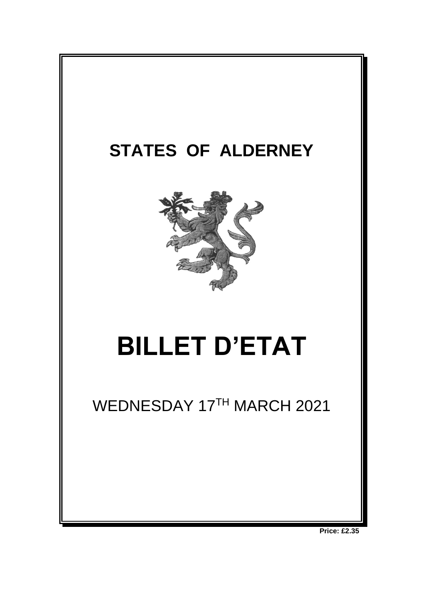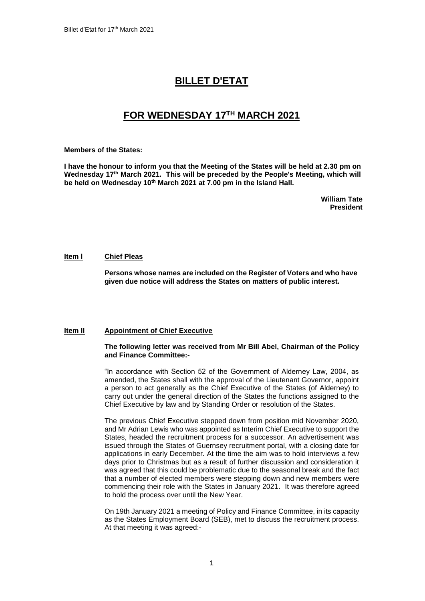# **BILLET D'ETAT**

# **FOR WEDNESDAY 17 TH MARCH 2021**

#### **Members of the States:**

**I have the honour to inform you that the Meeting of the States will be held at 2.30 pm on Wednesday 17th March 2021. This will be preceded by the People's Meeting, which will be held on Wednesday 10th March 2021 at 7.00 pm in the Island Hall.** 

> **William Tate President**

## **Item l Chief Pleas**

**Persons whose names are included on the Register of Voters and who have given due notice will address the States on matters of public interest.**

### **Item II Appointment of Chief Executive**

#### **The following letter was received from Mr Bill Abel, Chairman of the Policy and Finance Committee:-**

"In accordance with Section 52 of the Government of Alderney Law, 2004, as amended, the States shall with the approval of the Lieutenant Governor, appoint a person to act generally as the Chief Executive of the States (of Alderney) to carry out under the general direction of the States the functions assigned to the Chief Executive by law and by Standing Order or resolution of the States.

The previous Chief Executive stepped down from position mid November 2020, and Mr Adrian Lewis who was appointed as Interim Chief Executive to support the States, headed the recruitment process for a successor. An advertisement was issued through the States of Guernsey recruitment portal, with a closing date for applications in early December. At the time the aim was to hold interviews a few days prior to Christmas but as a result of further discussion and consideration it was agreed that this could be problematic due to the seasonal break and the fact that a number of elected members were stepping down and new members were commencing their role with the States in January 2021. It was therefore agreed to hold the process over until the New Year.

On 19th January 2021 a meeting of Policy and Finance Committee, in its capacity as the States Employment Board (SEB), met to discuss the recruitment process. At that meeting it was agreed:-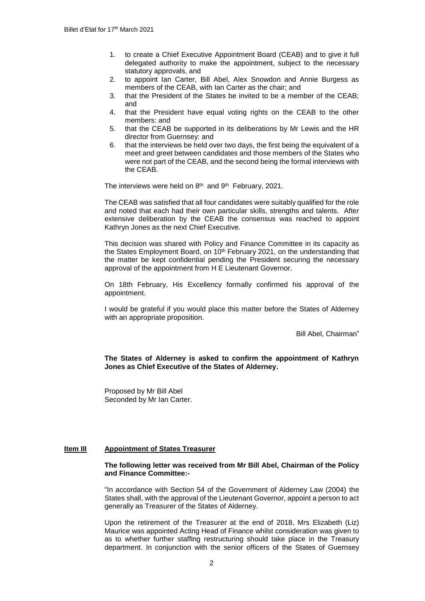- 1. to create a Chief Executive Appointment Board (CEAB) and to give it full delegated authority to make the appointment, subject to the necessary statutory approvals, and
- 2. to appoint Ian Carter, Bill Abel, Alex Snowdon and Annie Burgess as members of the CEAB, with Ian Carter as the chair; and
- 3. that the President of the States be invited to be a member of the CEAB; and
- 4. that the President have equal voting rights on the CEAB to the other members: and
- 5. that the CEAB be supported in its deliberations by Mr Lewis and the HR director from Guernsey: and
- 6. that the interviews be held over two days, the first being the equivalent of a meet and greet between candidates and those members of the States who were not part of the CEAB, and the second being the formal interviews with the CEAB.

The interviews were held on 8<sup>th</sup> and 9<sup>th</sup> February, 2021.

The CEAB was satisfied that all four candidates were suitably qualified for the role and noted that each had their own particular skills, strengths and talents. After extensive deliberation by the CEAB the consensus was reached to appoint Kathryn Jones as the next Chief Executive.

This decision was shared with Policy and Finance Committee in its capacity as the States Employment Board, on 10<sup>th</sup> February 2021, on the understanding that the matter be kept confidential pending the President securing the necessary approval of the appointment from H E Lieutenant Governor.

On 18th February, His Excellency formally confirmed his approval of the appointment.

I would be grateful if you would place this matter before the States of Alderney with an appropriate proposition.

Bill Abel, Chairman"

**The States of Alderney is asked to confirm the appointment of Kathryn Jones as Chief Executive of the States of Alderney.**

Proposed by Mr Bill Abel Seconded by Mr Ian Carter.

## **Item III Appointment of States Treasurer**

## **The following letter was received from Mr Bill Abel, Chairman of the Policy and Finance Committee:-**

"In accordance with Section 54 of the Government of Alderney Law (2004) the States shall, with the approval of the Lieutenant Governor, appoint a person to act generally as Treasurer of the States of Alderney.

Upon the retirement of the Treasurer at the end of 2018, Mrs Elizabeth (Liz) Maurice was appointed Acting Head of Finance whilst consideration was given to as to whether further staffing restructuring should take place in the Treasury department. In conjunction with the senior officers of the States of Guernsey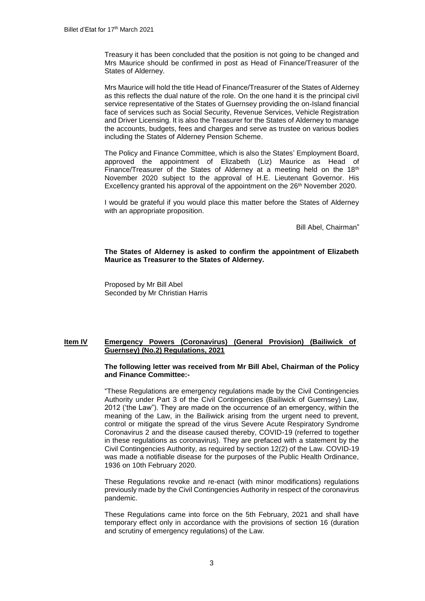Treasury it has been concluded that the position is not going to be changed and Mrs Maurice should be confirmed in post as Head of Finance/Treasurer of the States of Alderney.

Mrs Maurice will hold the title Head of Finance/Treasurer of the States of Alderney as this reflects the dual nature of the role. On the one hand it is the principal civil service representative of the States of Guernsey providing the on-Island financial face of services such as Social Security, Revenue Services, Vehicle Registration and Driver Licensing. It is also the Treasurer for the States of Alderney to manage the accounts, budgets, fees and charges and serve as trustee on various bodies including the States of Alderney Pension Scheme.

The Policy and Finance Committee, which is also the States' Employment Board, approved the appointment of Elizabeth (Liz) Maurice as Head of Finance/Treasurer of the States of Alderney at a meeting held on the  $18<sup>th</sup>$ November 2020 subject to the approval of H.E. Lieutenant Governor. His Excellency granted his approval of the appointment on the 26<sup>th</sup> November 2020.

I would be grateful if you would place this matter before the States of Alderney with an appropriate proposition.

Bill Abel, Chairman"

## **The States of Alderney is asked to confirm the appointment of Elizabeth Maurice as Treasurer to the States of Alderney.**

Proposed by Mr Bill Abel Seconded by Mr Christian Harris

# **Item IV Emergency Powers (Coronavirus) (General Provision) (Bailiwick of Guernsey) (No.2) Regulations, 2021**

#### **The following letter was received from Mr Bill Abel, Chairman of the Policy and Finance Committee:-**

"These Regulations are emergency regulations made by the Civil Contingencies Authority under Part 3 of the Civil Contingencies (Bailiwick of Guernsey) Law, 2012 ('the Law"). They are made on the occurrence of an emergency, within the meaning of the Law, in the Bailiwick arising from the urgent need to prevent, control or mitigate the spread of the virus Severe Acute Respiratory Syndrome Coronavirus 2 and the disease caused thereby, COVID-19 (referred to together in these regulations as coronavirus). They are prefaced with a statement by the Civil Contingencies Authority, as required by section 12(2) of the Law. COVID-19 was made a notifiable disease for the purposes of the Public Health Ordinance, 1936 on 10th February 2020.

These Regulations revoke and re-enact (with minor modifications) regulations previously made by the Civil Contingencies Authority in respect of the coronavirus pandemic.

These Regulations came into force on the 5th February, 2021 and shall have temporary effect only in accordance with the provisions of section 16 (duration and scrutiny of emergency regulations) of the Law.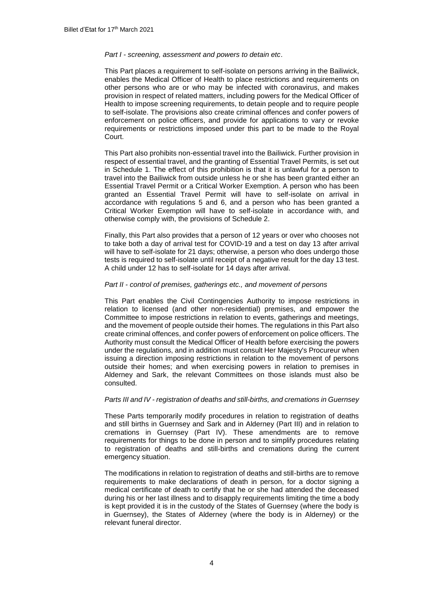#### *Part I - screening, assessment and powers to detain etc*.

This Part places a requirement to self-isolate on persons arriving in the Bailiwick, enables the Medical Officer of Health to place restrictions and requirements on other persons who are or who may be infected with coronavirus, and makes provision in respect of related matters, including powers for the Medical Officer of Health to impose screening requirements, to detain people and to require people to self-isolate. The provisions also create criminal offences and confer powers of enforcement on police officers, and provide for applications to vary or revoke requirements or restrictions imposed under this part to be made to the Royal Court.

This Part also prohibits non-essential travel into the Bailiwick. Further provision in respect of essential travel, and the granting of Essential Travel Permits, is set out in Schedule 1. The effect of this prohibition is that it is unlawful for a person to travel into the Bailiwick from outside unless he or she has been granted either an Essential Travel Permit or a Critical Worker Exemption. A person who has been granted an Essential Travel Permit will have to self-isolate on arrival in accordance with regulations 5 and 6, and a person who has been granted a Critical Worker Exemption will have to self-isolate in accordance with, and otherwise comply with, the provisions of Schedule 2.

Finally, this Part also provides that a person of 12 years or over who chooses not to take both a day of arrival test for COVID-19 and a test on day 13 after arrival will have to self-isolate for 21 days; otherwise, a person who does undergo those tests is required to self-isolate until receipt of a negative result for the day 13 test. A child under 12 has to self-isolate for 14 days after arrival.

### *Part II - control of premises, gatherings etc., and movement of persons*

This Part enables the Civil Contingencies Authority to impose restrictions in relation to licensed (and other non-residential) premises, and empower the Committee to impose restrictions in relation to events, gatherings and meetings, and the movement of people outside their homes. The regulations in this Part also create criminal offences, and confer powers of enforcement on police officers. The Authority must consult the Medical Officer of Health before exercising the powers under the regulations, and in addition must consult Her Majesty's Procureur when issuing a direction imposing restrictions in relation to the movement of persons outside their homes; and when exercising powers in relation to premises in Alderney and Sark, the relevant Committees on those islands must also be consulted.

### *Parts III and IV - registration of deaths and still-births, and cremations in Guernsey*

These Parts temporarily modify procedures in relation to registration of deaths and still births in Guernsey and Sark and in Alderney (Part III) and in relation to cremations in Guernsey (Part IV). These amendments are to remove requirements for things to be done in person and to simplify procedures relating to registration of deaths and still-births and cremations during the current emergency situation.

The modifications in relation to registration of deaths and still-births are to remove requirements to make declarations of death in person, for a doctor signing a medical certificate of death to certify that he or she had attended the deceased during his or her last illness and to disapply requirements limiting the time a body is kept provided it is in the custody of the States of Guernsey (where the body is in Guernsey), the States of Alderney (where the body is in Alderney) or the relevant funeral director.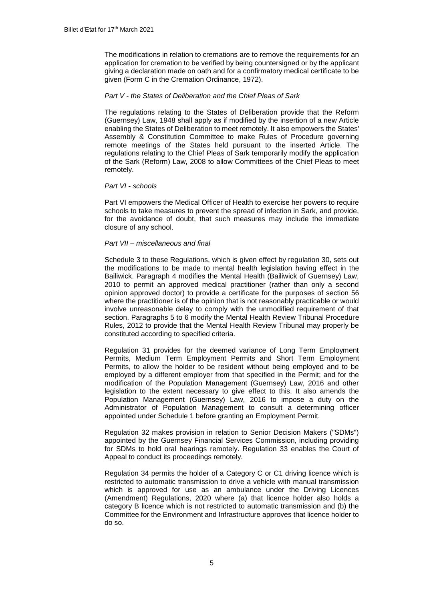The modifications in relation to cremations are to remove the requirements for an application for cremation to be verified by being countersigned or by the applicant giving a declaration made on oath and for a confirmatory medical certificate to be given (Form C in the Cremation Ordinance, 1972).

### *Part V - the States of Deliberation and the Chief Pleas of Sark*

The regulations relating to the States of Deliberation provide that the Reform (Guernsey) Law, 1948 shall apply as if modified by the insertion of a new Article enabling the States of Deliberation to meet remotely. It also empowers the States' Assembly & Constitution Committee to make Rules of Procedure governing remote meetings of the States held pursuant to the inserted Article. The regulations relating to the Chief Pleas of Sark temporarily modify the application of the Sark (Reform) Law, 2008 to allow Committees of the Chief Pleas to meet remotely.

## *Part VI - schools*

Part VI empowers the Medical Officer of Health to exercise her powers to require schools to take measures to prevent the spread of infection in Sark, and provide, for the avoidance of doubt, that such measures may include the immediate closure of any school.

### *Part VII – miscellaneous and final*

Schedule 3 to these Regulations, which is given effect by regulation 30, sets out the modifications to be made to mental health legislation having effect in the Bailiwick. Paragraph 4 modifies the Mental Health (Bailiwick of Guernsey) Law, 2010 to permit an approved medical practitioner (rather than only a second opinion approved doctor) to provide a certificate for the purposes of section 56 where the practitioner is of the opinion that is not reasonably practicable or would involve unreasonable delay to comply with the unmodified requirement of that section. Paragraphs 5 to 6 modify the Mental Health Review Tribunal Procedure Rules, 2012 to provide that the Mental Health Review Tribunal may properly be constituted according to specified criteria.

Regulation 31 provides for the deemed variance of Long Term Employment Permits, Medium Term Employment Permits and Short Term Employment Permits, to allow the holder to be resident without being employed and to be employed by a different employer from that specified in the Permit; and for the modification of the Population Management (Guernsey) Law, 2016 and other legislation to the extent necessary to give effect to this. It also amends the Population Management (Guernsey) Law, 2016 to impose a duty on the Administrator of Population Management to consult a determining officer appointed under Schedule 1 before granting an Employment Permit.

Regulation 32 makes provision in relation to Senior Decision Makers ("SDMs") appointed by the Guernsey Financial Services Commission, including providing for SDMs to hold oral hearings remotely. Regulation 33 enables the Court of Appeal to conduct its proceedings remotely.

Regulation 34 permits the holder of a Category C or C1 driving licence which is restricted to automatic transmission to drive a vehicle with manual transmission which is approved for use as an ambulance under the Driving Licences (Amendment) Regulations, 2020 where (a) that licence holder also holds a category B licence which is not restricted to automatic transmission and (b) the Committee for the Environment and Infrastructure approves that licence holder to do so.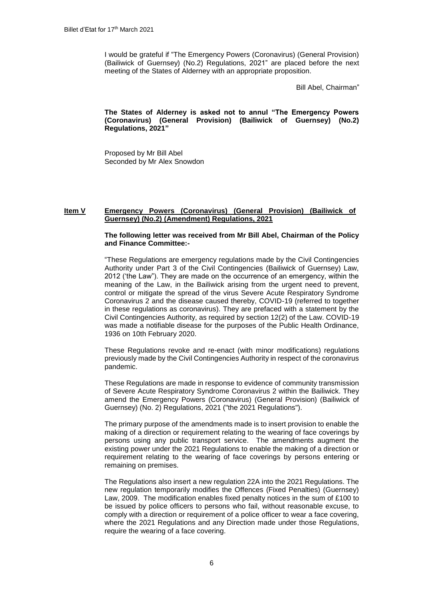I would be grateful if "The Emergency Powers (Coronavirus) (General Provision) (Bailiwick of Guernsey) (No.2) Regulations, 2021" are placed before the next meeting of the States of Alderney with an appropriate proposition.

Bill Abel, Chairman"

**The States of Alderney is asked not to annul "The Emergency Powers (Coronavirus) (General Provision) (Bailiwick of Guernsey) (No.2) Regulations, 2021"**

Proposed by Mr Bill Abel Seconded by Mr Alex Snowdon

## **Item V Emergency Powers (Coronavirus) (General Provision) (Bailiwick of Guernsey) (No.2) (Amendment) Regulations, 2021**

### **The following letter was received from Mr Bill Abel, Chairman of the Policy and Finance Committee:-**

"These Regulations are emergency regulations made by the Civil Contingencies Authority under Part 3 of the Civil Contingencies (Bailiwick of Guernsey) Law, 2012 ('the Law"). They are made on the occurrence of an emergency, within the meaning of the Law, in the Bailiwick arising from the urgent need to prevent, control or mitigate the spread of the virus Severe Acute Respiratory Syndrome Coronavirus 2 and the disease caused thereby, COVID-19 (referred to together in these regulations as coronavirus). They are prefaced with a statement by the Civil Contingencies Authority, as required by section 12(2) of the Law. COVID-19 was made a notifiable disease for the purposes of the Public Health Ordinance, 1936 on 10th February 2020.

These Regulations revoke and re-enact (with minor modifications) regulations previously made by the Civil Contingencies Authority in respect of the coronavirus pandemic.

These Regulations are made in response to evidence of community transmission of Severe Acute Respiratory Syndrome Coronavirus 2 within the Bailiwick. They amend the Emergency Powers (Coronavirus) (General Provision) (Bailiwick of Guernsey) (No. 2) Regulations, 2021 ("the 2021 Regulations").

The primary purpose of the amendments made is to insert provision to enable the making of a direction or requirement relating to the wearing of face coverings by persons using any public transport service. The amendments augment the existing power under the 2021 Regulations to enable the making of a direction or requirement relating to the wearing of face coverings by persons entering or remaining on premises.

The Regulations also insert a new regulation 22A into the 2021 Regulations. The new regulation temporarily modifies the Offences (Fixed Penalties) (Guernsey) Law, 2009. The modification enables fixed penalty notices in the sum of £100 to be issued by police officers to persons who fail, without reasonable excuse, to comply with a direction or requirement of a police officer to wear a face covering, where the 2021 Regulations and any Direction made under those Regulations, require the wearing of a face covering.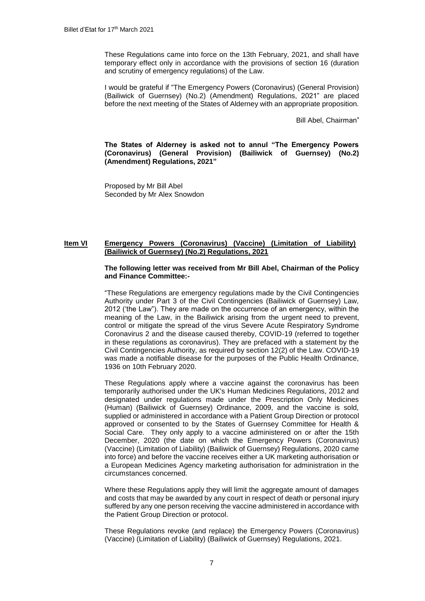These Regulations came into force on the 13th February, 2021, and shall have temporary effect only in accordance with the provisions of section 16 (duration and scrutiny of emergency regulations) of the Law.

I would be grateful if "The Emergency Powers (Coronavirus) (General Provision) (Bailiwick of Guernsey) (No.2) (Amendment) Regulations, 2021" are placed before the next meeting of the States of Alderney with an appropriate proposition.

Bill Abel, Chairman"

**The States of Alderney is asked not to annul "The Emergency Powers (Coronavirus) (General Provision) (Bailiwick of Guernsey) (No.2) (Amendment) Regulations, 2021"**

Proposed by Mr Bill Abel Seconded by Mr Alex Snowdon

# **Item VI Emergency Powers (Coronavirus) (Vaccine) (Limitation of Liability) (Bailiwick of Guernsey) (No.2) Regulations, 2021**

#### **The following letter was received from Mr Bill Abel, Chairman of the Policy and Finance Committee:-**

"These Regulations are emergency regulations made by the Civil Contingencies Authority under Part 3 of the Civil Contingencies (Bailiwick of Guernsey) Law, 2012 ('the Law"). They are made on the occurrence of an emergency, within the meaning of the Law, in the Bailiwick arising from the urgent need to prevent, control or mitigate the spread of the virus Severe Acute Respiratory Syndrome Coronavirus 2 and the disease caused thereby, COVID-19 (referred to together in these regulations as coronavirus). They are prefaced with a statement by the Civil Contingencies Authority, as required by section 12(2) of the Law. COVID-19 was made a notifiable disease for the purposes of the Public Health Ordinance, 1936 on 10th February 2020.

These Regulations apply where a vaccine against the coronavirus has been temporarily authorised under the UK's Human Medicines Regulations, 2012 and designated under regulations made under the Prescription Only Medicines (Human) (Bailiwick of Guernsey) Ordinance, 2009, and the vaccine is sold, supplied or administered in accordance with a Patient Group Direction or protocol approved or consented to by the States of Guernsey Committee for Health & Social Care. They only apply to a vaccine administered on or after the 15th December, 2020 (the date on which the Emergency Powers (Coronavirus) (Vaccine) (Limitation of Liability) (Bailiwick of Guernsey) Regulations, 2020 came into force) and before the vaccine receives either a UK marketing authorisation or a European Medicines Agency marketing authorisation for administration in the circumstances concerned.

Where these Regulations apply they will limit the aggregate amount of damages and costs that may be awarded by any court in respect of death or personal injury suffered by any one person receiving the vaccine administered in accordance with the Patient Group Direction or protocol.

These Regulations revoke (and replace) the Emergency Powers (Coronavirus) (Vaccine) (Limitation of Liability) (Bailiwick of Guernsey) Regulations, 2021.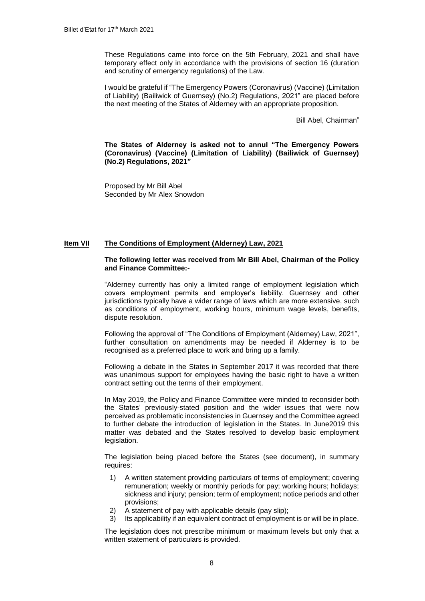These Regulations came into force on the 5th February, 2021 and shall have temporary effect only in accordance with the provisions of section 16 (duration and scrutiny of emergency regulations) of the Law.

I would be grateful if "The Emergency Powers (Coronavirus) (Vaccine) (Limitation of Liability) (Bailiwick of Guernsey) (No.2) Regulations, 2021" are placed before the next meeting of the States of Alderney with an appropriate proposition.

Bill Abel, Chairman"

**The States of Alderney is asked not to annul "The Emergency Powers (Coronavirus) (Vaccine) (Limitation of Liability) (Bailiwick of Guernsey) (No.2) Regulations, 2021"**

Proposed by Mr Bill Abel Seconded by Mr Alex Snowdon

#### **Item VII The Conditions of Employment (Alderney) Law, 2021**

#### **The following letter was received from Mr Bill Abel, Chairman of the Policy and Finance Committee:-**

"Alderney currently has only a limited range of employment legislation which covers employment permits and employer's liability. Guernsey and other jurisdictions typically have a wider range of laws which are more extensive, such as conditions of employment, working hours, minimum wage levels, benefits, dispute resolution.

Following the approval of "The Conditions of Employment (Alderney) Law, 2021", further consultation on amendments may be needed if Alderney is to be recognised as a preferred place to work and bring up a family.

Following a debate in the States in September 2017 it was recorded that there was unanimous support for employees having the basic right to have a written contract setting out the terms of their employment.

In May 2019, the Policy and Finance Committee were minded to reconsider both the States' previously-stated position and the wider issues that were now perceived as problematic inconsistencies in Guernsey and the Committee agreed to further debate the introduction of legislation in the States. In June2019 this matter was debated and the States resolved to develop basic employment legislation.

The legislation being placed before the States (see document), in summary requires:

- 1) A written statement providing particulars of terms of employment; covering remuneration; weekly or monthly periods for pay; working hours; holidays; sickness and injury; pension; term of employment; notice periods and other provisions;
- 2) A statement of pay with applicable details (pay slip);
- 3) Its applicability if an equivalent contract of employment is or will be in place.

The legislation does not prescribe minimum or maximum levels but only that a written statement of particulars is provided.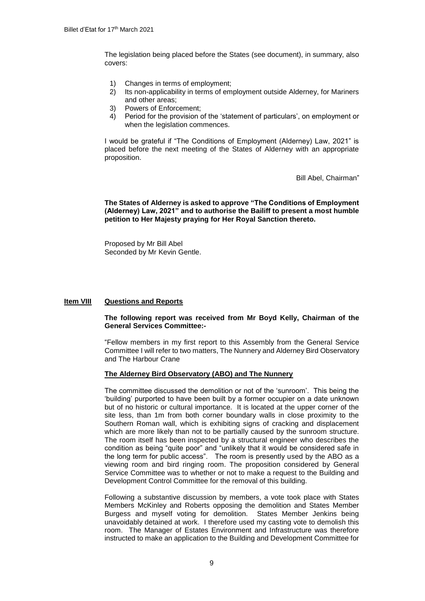The legislation being placed before the States (see document), in summary, also covers:

- 1) Changes in terms of employment;
- 2) Its non-applicability in terms of employment outside Alderney, for Mariners and other areas;
- 3) Powers of Enforcement;
- 4) Period for the provision of the 'statement of particulars', on employment or when the legislation commences.

I would be grateful if "The Conditions of Employment (Alderney) Law, 2021" is placed before the next meeting of the States of Alderney with an appropriate proposition.

Bill Abel, Chairman"

#### **The States of Alderney is asked to approve "The Conditions of Employment (Alderney) Law, 2021" and to authorise the Bailiff to present a most humble petition to Her Majesty praying for Her Royal Sanction thereto.**

Proposed by Mr Bill Abel Seconded by Mr Kevin Gentle.

# **Item VIII Questions and Reports**

# **The following report was received from Mr Boyd Kelly, Chairman of the General Services Committee:-**

"Fellow members in my first report to this Assembly from the General Service Committee I will refer to two matters, The Nunnery and Alderney Bird Observatory and The Harbour Crane

### **The Alderney Bird Observatory (ABO) and The Nunnery**

The committee discussed the demolition or not of the 'sunroom'. This being the 'building' purported to have been built by a former occupier on a date unknown but of no historic or cultural importance. It is located at the upper corner of the site less, than 1m from both corner boundary walls in close proximity to the Southern Roman wall, which is exhibiting signs of cracking and displacement which are more likely than not to be partially caused by the sunroom structure. The room itself has been inspected by a structural engineer who describes the condition as being "quite poor" and "unlikely that it would be considered safe in the long term for public access". The room is presently used by the ABO as a viewing room and bird ringing room. The proposition considered by General Service Committee was to whether or not to make a request to the Building and Development Control Committee for the removal of this building.

Following a substantive discussion by members, a vote took place with States Members McKinley and Roberts opposing the demolition and States Member Burgess and myself voting for demolition. States Member Jenkins being unavoidably detained at work. I therefore used my casting vote to demolish this room. The Manager of Estates Environment and Infrastructure was therefore instructed to make an application to the Building and Development Committee for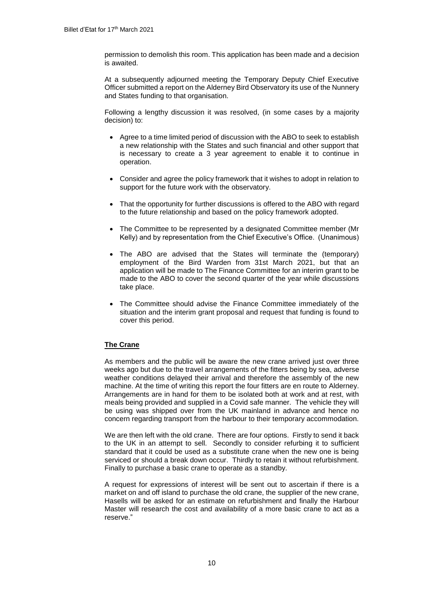permission to demolish this room. This application has been made and a decision is awaited.

At a subsequently adjourned meeting the Temporary Deputy Chief Executive Officer submitted a report on the Alderney Bird Observatory its use of the Nunnery and States funding to that organisation.

Following a lengthy discussion it was resolved, (in some cases by a majority decision) to:

- Agree to a time limited period of discussion with the ABO to seek to establish a new relationship with the States and such financial and other support that is necessary to create a 3 year agreement to enable it to continue in operation.
- Consider and agree the policy framework that it wishes to adopt in relation to support for the future work with the observatory.
- That the opportunity for further discussions is offered to the ABO with regard to the future relationship and based on the policy framework adopted.
- The Committee to be represented by a designated Committee member (Mr Kelly) and by representation from the Chief Executive's Office. (Unanimous)
- The ABO are advised that the States will terminate the (temporary) employment of the Bird Warden from 31st March 2021, but that an application will be made to The Finance Committee for an interim grant to be made to the ABO to cover the second quarter of the year while discussions take place.
- The Committee should advise the Finance Committee immediately of the situation and the interim grant proposal and request that funding is found to cover this period.

# **The Crane**

As members and the public will be aware the new crane arrived just over three weeks ago but due to the travel arrangements of the fitters being by sea, adverse weather conditions delayed their arrival and therefore the assembly of the new machine. At the time of writing this report the four fitters are en route to Alderney. Arrangements are in hand for them to be isolated both at work and at rest, with meals being provided and supplied in a Covid safe manner. The vehicle they will be using was shipped over from the UK mainland in advance and hence no concern regarding transport from the harbour to their temporary accommodation.

We are then left with the old crane. There are four options. Firstly to send it back to the UK in an attempt to sell. Secondly to consider refurbing it to sufficient standard that it could be used as a substitute crane when the new one is being serviced or should a break down occur. Thirdly to retain it without refurbishment. Finally to purchase a basic crane to operate as a standby.

A request for expressions of interest will be sent out to ascertain if there is a market on and off island to purchase the old crane, the supplier of the new crane, Hasells will be asked for an estimate on refurbishment and finally the Harbour Master will research the cost and availability of a more basic crane to act as a reserve."